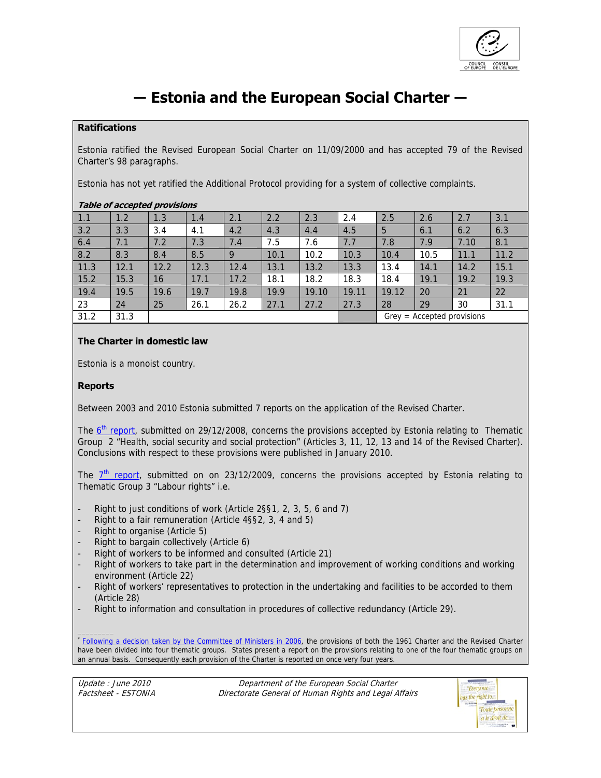

# **― Estonia and the European Social Charter ―**

## **Ratifications**

Estonia ratified the Revised European Social Charter on 11/09/2000 and has accepted 79 of the Revised Charter's 98 paragraphs.

Estonia has not yet ratified the Additional Protocol providing for a system of collective complaints.

## **Table of accepted provisions**

| 1.1    | 1.2  | 1.3  | 1.4  | 2.1  | 2.2  | 2.3   | 2.4   | 2.5                          | 2.6  | 2.7  | 3.1  |  |
|--------|------|------|------|------|------|-------|-------|------------------------------|------|------|------|--|
| $3.2$  | 3.3  | 3.4  | 4.1  | 4.2  | 4.3  | 4.4   | 4.5   | 5                            | 6.1  | 6.2  | 6.3  |  |
| 6.4    | 7.1  | 7.2  | 7.3  | 7.4  | 7.5  | 7.6   | 7.7   | 7.8                          | 7.9  | 7.10 | 8.1  |  |
| 8.2    | 8.3  | 8.4  | 8.5  | 9    | 10.1 | 10.2  | 10.3  | 10.4                         | 10.5 | 11.1 | 11.2 |  |
| 11.3   | 12.1 | 12.2 | 12.3 | 12.4 | 13.1 | 13.2  | 13.3  | 13.4                         | 14.1 | 14.2 | 15.1 |  |
| $15.2$ | 15.3 | 16   | 17.1 | 17.2 | 18.1 | 18.2  | 18.3  | 18.4                         | 19.1 | 19.2 | 19.3 |  |
| 19.4   | 19.5 | 19.6 | 19.7 | 19.8 | 19.9 | 19.10 | 19.11 | 19.12                        | 20   | 21   | 22   |  |
| 23     | 24   | 25   | 26.1 | 26.2 | 27.1 | 27.2  | 27.3  | 28                           | 29   | 30   | 31.1 |  |
| 31.2   | 31.3 |      |      |      |      |       |       | $Grey = Accepted provisions$ |      |      |      |  |

## **The Charter in domestic law**

Estonia is a monoist country.

## **Reports**

Between 2003 and 2010 Estonia submitted 7 reports on the application of the Revised Charter.

The 6<sup>th</sup> report, submitted on 29/12/2008, concerns the provisions accepted by Estonia relating to Thematic Group 2 "Health, social security and social protection" (Articles 3, 11, 12, 13 and 14 of the Revised Charter). Conclusions with respect to these provisions were published in January 2010.

The  $7<sup>th</sup>$  report, submitted on on 23/12/2009, concerns the provisions accepted by Estonia relating to Thematic Group 3 "Labour rights" i.e.

- Right to just conditions of work (Article 2§§1, 2, 3, 5, 6 and 7)
- Right to a fair remuneration (Article 4§§2, 3, 4 and 5)
- Right to organise (Article 5)
- Right to bargain collectively (Article 6)
- Right of workers to be informed and consulted (Article 21)
- Right of workers to take part in the determination and improvement of working conditions and working environment (Article 22)
- Right of workers' representatives to protection in the undertaking and facilities to be accorded to them (Article 28)
- Right to information and consultation in procedures of collective redundancy (Article 29).

\* Following a decision taken by the Committee of Ministers in 2006, the provisions of both the 1961 Charter and the Revised Charter have been divided into four thematic groups. States present a report on the provisions relating to one of the four thematic groups on an annual basis. Consequently each provision of the Charter is reported on once very four years.

Update : June 2010 Factsheet - ESTONIA

\_\_\_\_\_\_\_\_\_

Department of the European Social Charter Directorate General of Human Rights and Legal Affairs

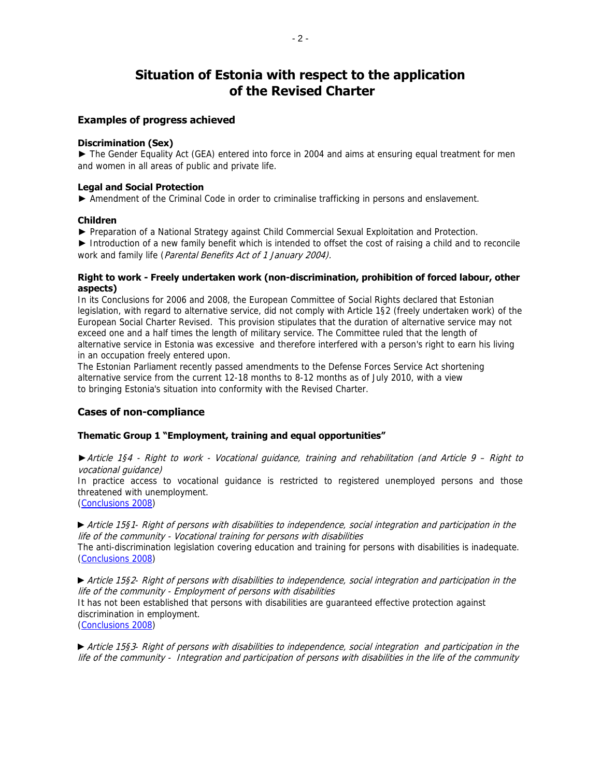## **Situation of Estonia with respect to the application of the Revised Charter**

### **Examples of progress achieved**

#### **Discrimination (Sex)**

► The Gender Equality Act (GEA) entered into force in 2004 and aims at ensuring equal treatment for men and women in all areas of public and private life.

#### **Legal and Social Protection**

► Amendment of the Criminal Code in order to criminalise trafficking in persons and enslavement.

#### **Children**

► Preparation of a National Strategy against Child Commercial Sexual Exploitation and Protection.

► Introduction of a new family benefit which is intended to offset the cost of raising a child and to reconcile work and family life (Parental Benefits Act of 1 January 2004).

#### **Right to work - Freely undertaken work (non-discrimination, prohibition of forced labour, other aspects)**

In its Conclusions for 2006 and 2008, the European Committee of Social Rights declared that Estonian legislation, with regard to alternative service, did not comply with Article 1§2 (freely undertaken work) of the European Social Charter Revised. This provision stipulates that the duration of alternative service may not exceed one and a half times the length of military service. The Committee ruled that the length of alternative service in Estonia was excessive and therefore interfered with a person's right to earn his living in an occupation freely entered upon.

The Estonian Parliament recently passed amendments to the Defense Forces Service Act shortening alternative service from the current 12-18 months to 8-12 months as of July 2010, with a view to bringing Estonia's situation into conformity with the Revised Charter.

## **Cases of non-compliance**

#### **Thematic Group 1 "Employment, training and equal opportunities"**

►Article 1§4 - Right to work - Vocational guidance, training and rehabilitation (and Article 9 – Right to vocational guidance)

In practice access to vocational guidance is restricted to registered unemployed persons and those threatened with unemployment.

(Conclusions 2008)

►Article 15§1- Right of persons with disabilities to independence, social integration and participation in the life of the community - Vocational training for persons with disabilities The anti-discrimination legislation covering education and training for persons with disabilities is inadequate. (Conclusions 2008)

►Article 15§2- Right of persons with disabilities to independence, social integration and participation in the life of the community - Employment of persons with disabilities

It has not been established that persons with disabilities are guaranteed effective protection against discrimination in employment.

(Conclusions 2008)

►Article 15§3- Right of persons with disabilities to independence, social integration and participation in the life of the community - Integration and participation of persons with disabilities in the life of the community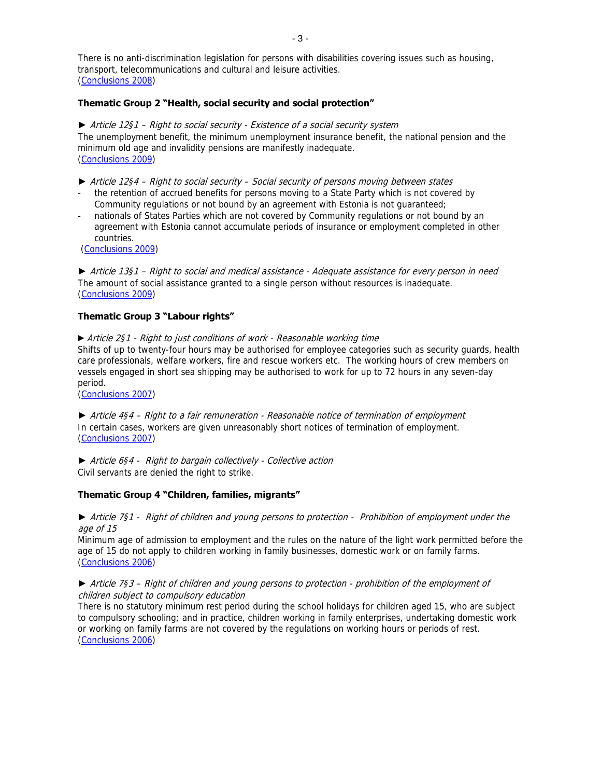There is no anti-discrimination legislation for persons with disabilities covering issues such as housing, transport, telecommunications and cultural and leisure activities. (Conclusions 2008)

#### **Thematic Group 2 "Health, social security and social protection"**

► Article 12§1 – Right to social security - Existence of a social security system The unemployment benefit, the minimum unemployment insurance benefit, the national pension and the minimum old age and invalidity pensions are manifestly inadequate. (Conclusions 2009)

- ► Article 12§4 Right to social security Social security of persons moving between states the retention of accrued benefits for persons moving to a State Party which is not covered by Community regulations or not bound by an agreement with Estonia is not guaranteed;
- nationals of States Parties which are not covered by Community regulations or not bound by an agreement with Estonia cannot accumulate periods of insurance or employment completed in other countries.

(Conclusions 2009)

► Article 13§1 – Right to social and medical assistance - Adequate assistance for every person in need The amount of social assistance granted to a single person without resources is inadequate. (Conclusions 2009)

#### **Thematic Group 3 "Labour rights"**

►Article 2§1 - Right to just conditions of work - Reasonable working time Shifts of up to twenty-four hours may be authorised for employee categories such as security guards, health care professionals, welfare workers, fire and rescue workers etc. The working hours of crew members on vessels engaged in short sea shipping may be authorised to work for up to 72 hours in any seven-day period.

(Conclusions 2007)

► Article 4§4 – Right to a fair remuneration - Reasonable notice of termination of employment In certain cases, workers are given unreasonably short notices of termination of employment. (Conclusions 2007)

► Article 6§4 - Right to bargain collectively - Collective action Civil servants are denied the right to strike.

#### **Thematic Group 4 "Children, families, migrants"**

► Article 7§1 - Right of children and young persons to protection - Prohibition of employment under the age of 15

Minimum age of admission to employment and the rules on the nature of the light work permitted before the age of 15 do not apply to children working in family businesses, domestic work or on family farms. (Conclusions 2006)

#### ► Article 7§3 – Right of children and young persons to protection - prohibition of the employment of children subject to compulsory education

There is no statutory minimum rest period during the school holidays for children aged 15, who are subject to compulsory schooling; and in practice, children working in family enterprises, undertaking domestic work or working on family farms are not covered by the regulations on working hours or periods of rest. (Conclusions 2006)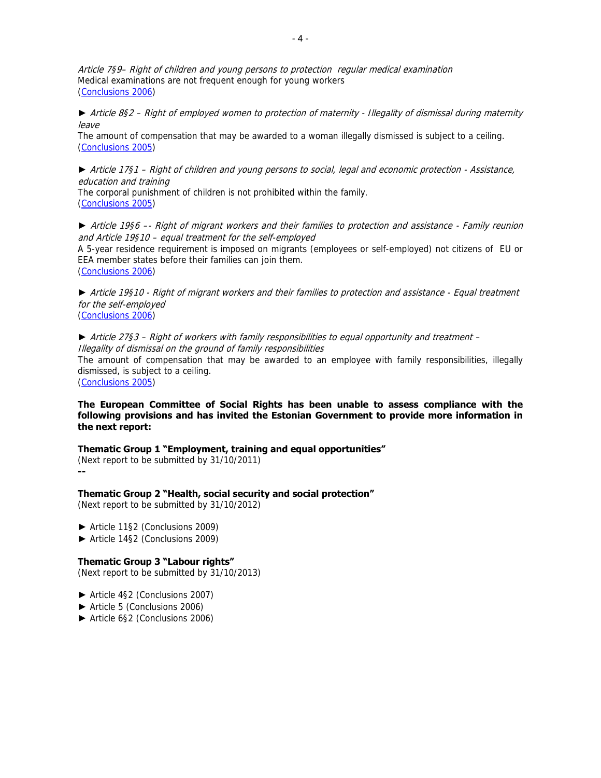Article 7§9– Right of children and young persons to protection regular medical examination Medical examinations are not frequent enough for young workers (Conclusions 2006)

► Article 8§2 – Right of employed women to protection of maternity - Illegality of dismissal during maternity leave

The amount of compensation that may be awarded to a woman illegally dismissed is subject to a ceiling. (Conclusions 2005)

► Article 17§1 – Right of children and young persons to social, legal and economic protection - Assistance, education and training The corporal punishment of children is not prohibited within the family.

(Conclusions 2005)

► Article 19§6 –- Right of migrant workers and their families to protection and assistance - Family reunion and Article 19§10 – equal treatment for the self-employed

A 5-year residence requirement is imposed on migrants (employees or self-employed) not citizens of EU or EEA member states before their families can join them. (Conclusions 2006)

► Article 19§10 - Right of migrant workers and their families to protection and assistance - Equal treatment for the self-employed (Conclusions 2006)

► Article 27§3 – Right of workers with family responsibilities to equal opportunity and treatment – Illegality of dismissal on the ground of family responsibilities

The amount of compensation that may be awarded to an employee with family responsibilities, illegally dismissed, is subject to a ceiling.

(Conclusions 2005)

**The European Committee of Social Rights has been unable to assess compliance with the following provisions and has invited the Estonian Government to provide more information in the next report:** 

**Thematic Group 1 "Employment, training and equal opportunities"**  (Next report to be submitted by 31/10/2011) **--** 

**Thematic Group 2 "Health, social security and social protection"**  (Next report to be submitted by 31/10/2012)

- ► Article 11§2 (Conclusions 2009)
- ► Article 14§2 (Conclusions 2009)

## **Thematic Group 3 "Labour rights"**

(Next report to be submitted by 31/10/2013)

- ► Article 4§2 (Conclusions 2007)
- ► Article 5 (Conclusions 2006)
- ► Article 6§2 (Conclusions 2006)